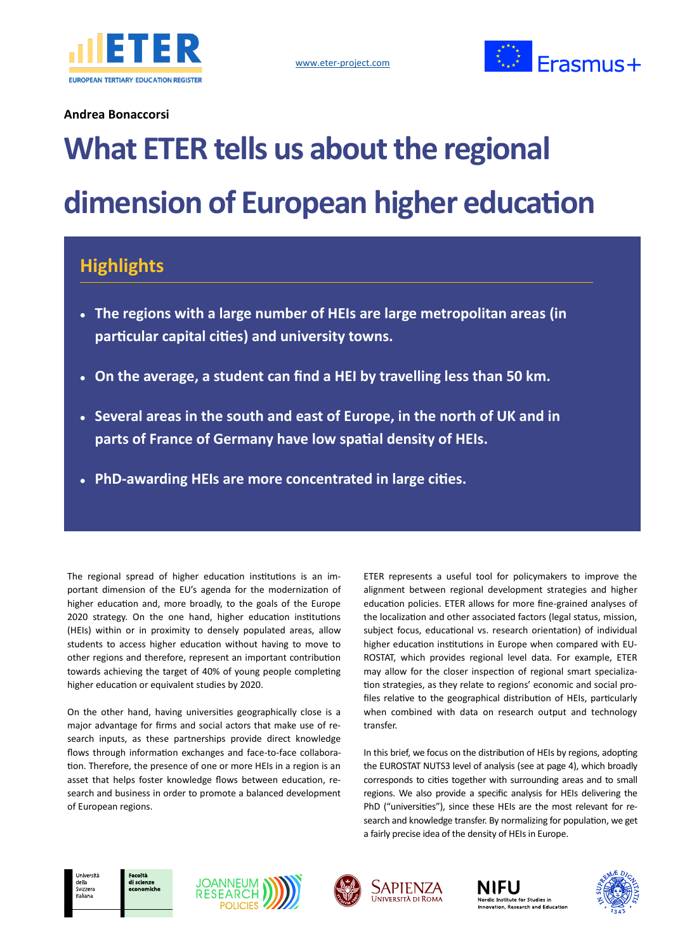



### **Andrea Bonaccorsi**

# **What ETER tells us about the regional dimension of European higher education**

# **Highlights**

- **The regions with a large number of HEIs are large metropolitan areas (in particular capital cities) and university towns.**
- **On the average, a student can find a HEI by travelling less than 50 km.**
- **Several areas in the south and east of Europe, in the north of UK and in parts of France of Germany have low spatial density of HEIs.**
- **PhD-awarding HEIs are more concentrated in large cities.**

The regional spread of higher education institutions is an important dimension of the EU's agenda for the modernization of higher education and, more broadly, to the goals of the Europe 2020 strategy. On the one hand, higher education institutions (HEIs) within or in proximity to densely populated areas, allow students to access higher education without having to move to other regions and therefore, represent an important contribution towards achieving the target of 40% of young people completing higher education or equivalent studies by 2020.

On the other hand, having universities geographically close is a major advantage for firms and social actors that make use of research inputs, as these partnerships provide direct knowledge flows through information exchanges and face-to-face collaboration. Therefore, the presence of one or more HEIs in a region is an asset that helps foster knowledge flows between education, research and business in order to promote a balanced development of European regions.

ETER represents a useful tool for policymakers to improve the alignment between regional development strategies and higher education policies. ETER allows for more fine-grained analyses of the localization and other associated factors (legal status, mission, subject focus, educational vs. research orientation) of individual higher education institutions in Europe when compared with EU-ROSTAT, which provides regional level data. For example, ETER may allow for the closer inspection of regional smart specialization strategies, as they relate to regions' economic and social profiles relative to the geographical distribution of HEIs, particularly when combined with data on research output and technology transfer.

In this brief, we focus on the distribution of HEIs by regions, adopting the EUROSTAT NUTS3 level of analysis (see at page 4), which broadly corresponds to cities together with surrounding areas and to small regions. We also provide a specific analysis for HEIs delivering the PhD ("universities"), since these HEIs are the most relevant for research and knowledge transfer. By normalizing for population, we get a fairly precise idea of the density of HEIs in Europe.









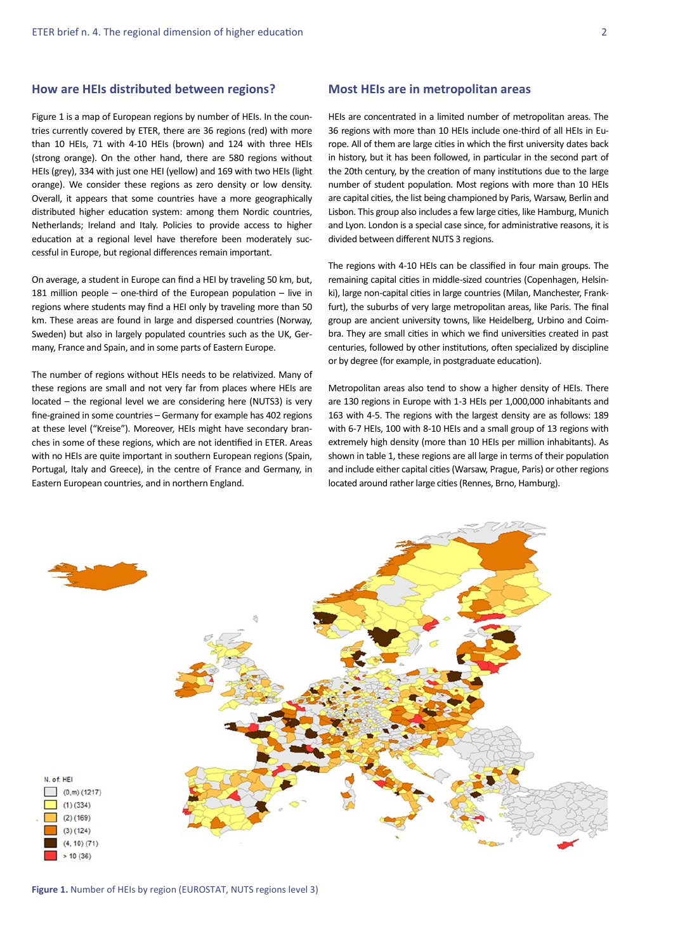#### **How are HEIs distributed between regions?**

Figure 1 is a map of European regions by number of HEIs. In the countries currently covered by ETER, there are 36 regions (red) with more than 10 HEIs, 71 with 4-10 HEIs (brown) and 124 with three HEIs (strong orange). On the other hand, there are 580 regions without HEIs (grey), 334 with just one HEI (yellow) and 169 with two HEIs (light orange). We consider these regions as zero density or low density. Overall, it appears that some countries have a more geographically distributed higher education system: among them Nordic countries, Netherlands; Ireland and Italy. Policies to provide access to higher education at a regional level have therefore been moderately successful in Europe, but regional differences remain important.

On average, a student in Europe can find a HEI by traveling 50 km, but, 181 million people – one-third of the European population – live in regions where students may find a HEI only by traveling more than 50 km. These areas are found in large and dispersed countries (Norway, Sweden) but also in largely populated countries such as the UK, Germany, France and Spain, and in some parts of Eastern Europe.

The number of regions without HEIs needs to be relativized. Many of these regions are small and not very far from places where HEIs are located – the regional level we are considering here (NUTS3) is very fine-grained in some countries – Germany for example has 402 regions at these level ("Kreise"). Moreover, HEIs might have secondary branches in some of these regions, which are not identified in ETER. Areas with no HEIs are quite important in southern European regions (Spain, Portugal, Italy and Greece), in the centre of France and Germany, in Eastern European countries, and in northern England.

#### **Most HEIs are in metropolitan areas**

HEIs are concentrated in a limited number of metropolitan areas. The 36 regions with more than 10 HEIs include one-third of all HEIs in Europe. All of them are large cities in which the first university dates back in history, but it has been followed, in particular in the second part of the 20th century, by the creation of many institutions due to the large number of student population. Most regions with more than 10 HEIs are capital cities, the list being championed by Paris, Warsaw, Berlin and Lisbon. This group also includes a few large cities, like Hamburg, Munich and Lyon. London is a special case since, for administrative reasons, it is divided between different NUTS 3 regions.

The regions with 4-10 HEIs can be classified in four main groups. The remaining capital cities in middle-sized countries (Copenhagen, Helsinki), large non-capital cities in large countries (Milan, Manchester, Frankfurt), the suburbs of very large metropolitan areas, like Paris. The final group are ancient university towns, like Heidelberg, Urbino and Coimbra. They are small cities in which we find universities created in past centuries, followed by other institutions, often specialized by discipline or by degree (for example, in postgraduate education).

Metropolitan areas also tend to show a higher density of HEIs. There are 130 regions in Europe with 1-3 HEIs per 1,000,000 inhabitants and 163 with 4-5. The regions with the largest density are as follows: 189 with 6-7 HEIs, 100 with 8-10 HEIs and a small group of 13 regions with extremely high density (more than 10 HEIs per million inhabitants). As shown in table 1, these regions are all large in terms of their population and include either capital cities (Warsaw, Prague, Paris) or other regions located around rather large cities (Rennes, Brno, Hamburg).



**Figure 1.** Number of HEIs by region (EUROSTAT, NUTS regions level 3)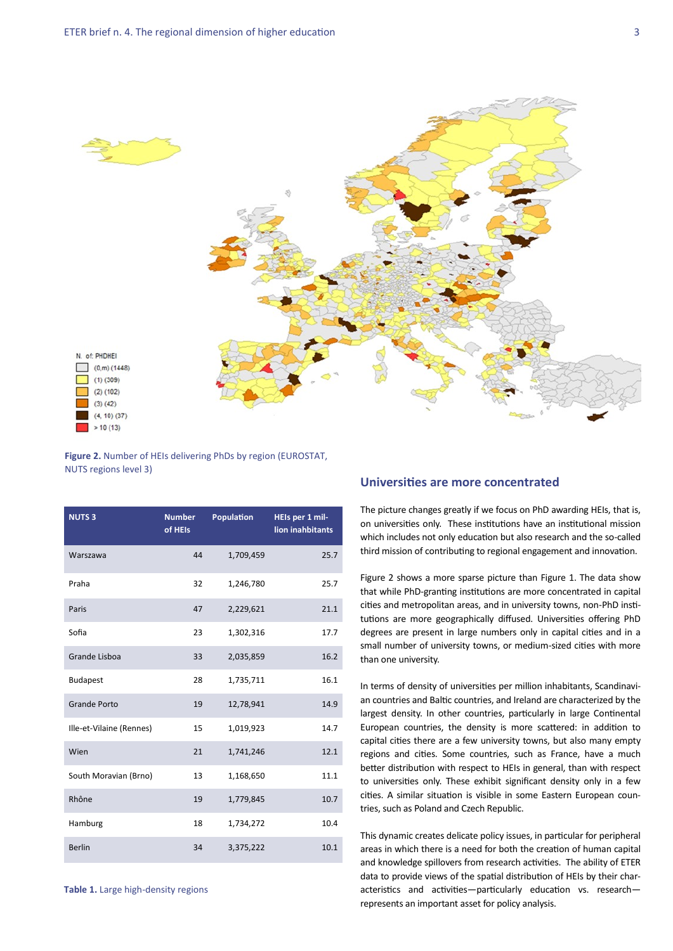

#### **Figure 2.** Number of HEIs delivering PhDs by region (EUROSTAT, NUTS regions level 3)

| <b>NUTS3</b>             | <b>Number</b><br>of HEIs | Population | HEIs per 1 mil-<br>lion inahbitants |
|--------------------------|--------------------------|------------|-------------------------------------|
| Warszawa                 | 44                       | 1,709,459  | 25.7                                |
| Praha                    | 32                       | 1,246,780  | 25.7                                |
| Paris                    | 47                       | 2,229,621  | 21.1                                |
| Sofia                    | 23                       | 1,302,316  | 17.7                                |
| <b>Grande Lisboa</b>     | 33                       | 2,035,859  | 16.2                                |
| <b>Budapest</b>          | 28                       | 1,735,711  | 16.1                                |
| <b>Grande Porto</b>      | 19                       | 12,78,941  | 14.9                                |
| Ille-et-Vilaine (Rennes) | 15                       | 1,019,923  | 14.7                                |
| Wien                     | 21                       | 1,741,246  | 12.1                                |
| South Moravian (Brno)    | 13                       | 1,168,650  | 11.1                                |
| Rhône                    | 19                       | 1,779,845  | 10.7                                |
| Hamburg                  | 18                       | 1,734,272  | 10.4                                |
| <b>Berlin</b>            | 34                       | 3,375,222  | 10.1                                |

#### **Universities are more concentrated**

The picture changes greatly if we focus on PhD awarding HEIs, that is, on universities only. These institutions have an institutional mission which includes not only education but also research and the so-called third mission of contributing to regional engagement and innovation.

Figure 2 shows a more sparse picture than Figure 1. The data show that while PhD-granting institutions are more concentrated in capital cities and metropolitan areas, and in university towns, non-PhD institutions are more geographically diffused. Universities offering PhD degrees are present in large numbers only in capital cities and in a small number of university towns, or medium-sized cities with more than one university.

In terms of density of universities per million inhabitants, Scandinavian countries and Baltic countries, and Ireland are characterized by the largest density. In other countries, particularly in large Continental European countries, the density is more scattered: in addition to capital cities there are a few university towns, but also many empty regions and cities. Some countries, such as France, have a much better distribution with respect to HEIs in general, than with respect to universities only. These exhibit significant density only in a few cities. A similar situation is visible in some Eastern European countries, such as Poland and Czech Republic.

This dynamic creates delicate policy issues, in particular for peripheral areas in which there is a need for both the creation of human capital and knowledge spillovers from research activities. The ability of ETER data to provide views of the spatial distribution of HEIs by their characteristics and activities—particularly education vs. research represents an important asset for policy analysis.